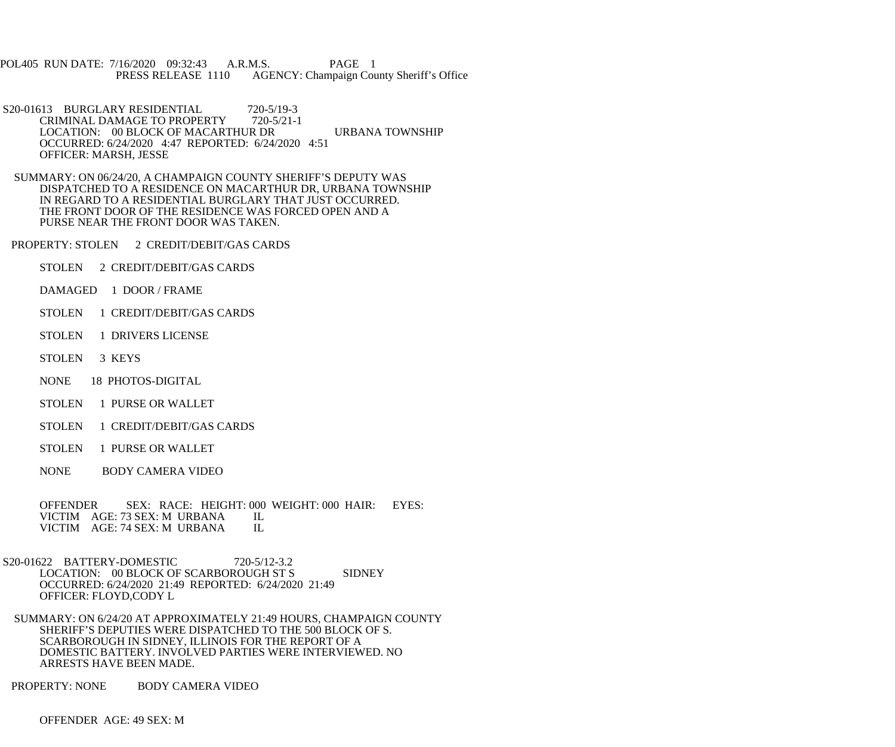POL405 RUN DATE: 7/16/2020 09:32:43 A.R.M.S. PAGE 1<br>PRESS RELEASE 1110 AGENCY: Champaign Cou AGENCY: Champaign County Sheriff's Office

S20-01613 BURGLARY RESIDENTIAL 720-5/19-3<br>CRIMINAL DAMAGE TO PROPERTY 720-5/21-1 CRIMINAL DAMAGE TO PROPERTY LOCATION: 00 BLOCK OF MACARTHUR DR URBANA TOWNSHIP OCCURRED: 6/24/2020 4:47 REPORTED: 6/24/2020 4:51 OFFICER: MARSH, JESSE

 SUMMARY: ON 06/24/20, A CHAMPAIGN COUNTY SHERIFF'S DEPUTY WAS DISPATCHED TO A RESIDENCE ON MACARTHUR DR, URBANA TOWNSHIP IN REGARD TO A RESIDENTIAL BURGLARY THAT JUST OCCURRED. THE FRONT DOOR OF THE RESIDENCE WAS FORCED OPEN AND A PURSE NEAR THE FRONT DOOR WAS TAKEN.

PROPERTY: STOLEN 2 CREDIT/DEBIT/GAS CARDS

- STOLEN 2 CREDIT/DEBIT/GAS CARDS
- DAMAGED 1 DOOR / FRAME
- STOLEN 1 CREDIT/DEBIT/GAS CARDS
- STOLEN 1 DRIVERS LICENSE
- STOLEN 3 KEYS
- NONE 18 PHOTOS-DIGITAL
- STOLEN 1 PURSE OR WALLET
- STOLEN 1 CREDIT/DEBIT/GAS CARDS
- STOLEN 1 PURSE OR WALLET
- NONE BODY CAMERA VIDEO

 OFFENDER SEX: RACE: HEIGHT: 000 WEIGHT: 000 HAIR: EYES: VICTIM AGE: 73 SEX: M URBANA IL<br>VICTIM AGE: 74 SEX: M URBANA IL VICTIM AGE: 74 SEX: M URBANA

 S20-01622 BATTERY-DOMESTIC 720-5/12-3.2 LOCATION: 00 BLOCK OF SCARBOROUGH ST S SIDNEY OCCURRED: 6/24/2020 21:49 REPORTED: 6/24/2020 21:49 OFFICER: FLOYD,CODY L

 SUMMARY: ON 6/24/20 AT APPROXIMATELY 21:49 HOURS, CHAMPAIGN COUNTY SHERIFF'S DEPUTIES WERE DISPATCHED TO THE 500 BLOCK OF S. SCARBOROUGH IN SIDNEY, ILLINOIS FOR THE REPORT OF A DOMESTIC BATTERY. INVOLVED PARTIES WERE INTERVIEWED. NO ARRESTS HAVE BEEN MADE.

PROPERTY: NONE BODY CAMERA VIDEO

OFFENDER AGE: 49 SEX: M